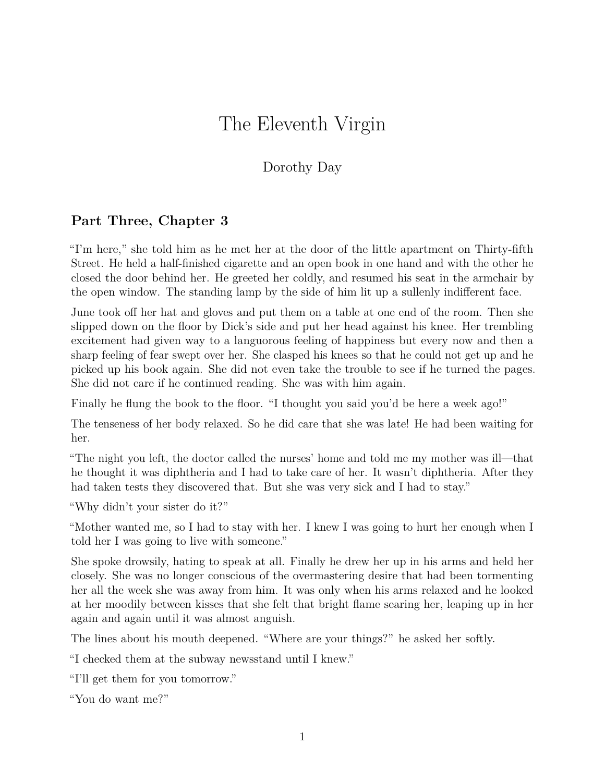## The Eleventh Virgin

## Dorothy Day

## **Part Three, Chapter 3**

"I'm here," she told him as he met her at the door of the little apartment on Thirty-fifth Street. He held a half-finished cigarette and an open book in one hand and with the other he closed the door behind her. He greeted her coldly, and resumed his seat in the armchair by the open window. The standing lamp by the side of him lit up a sullenly indifferent face.

June took off her hat and gloves and put them on a table at one end of the room. Then she slipped down on the floor by Dick's side and put her head against his knee. Her trembling excitement had given way to a languorous feeling of happiness but every now and then a sharp feeling of fear swept over her. She clasped his knees so that he could not get up and he picked up his book again. She did not even take the trouble to see if he turned the pages. She did not care if he continued reading. She was with him again.

Finally he flung the book to the floor. "I thought you said you'd be here a week ago!"

The tenseness of her body relaxed. So he did care that she was late! He had been waiting for her.

"The night you left, the doctor called the nurses' home and told me my mother was ill—that he thought it was diphtheria and I had to take care of her. It wasn't diphtheria. After they had taken tests they discovered that. But she was very sick and I had to stay."

"Why didn't your sister do it?"

"Mother wanted me, so I had to stay with her. I knew I was going to hurt her enough when I told her I was going to live with someone."

She spoke drowsily, hating to speak at all. Finally he drew her up in his arms and held her closely. She was no longer conscious of the overmastering desire that had been tormenting her all the week she was away from him. It was only when his arms relaxed and he looked at her moodily between kisses that she felt that bright flame searing her, leaping up in her again and again until it was almost anguish.

The lines about his mouth deepened. "Where are your things?" he asked her softly.

"I checked them at the subway newsstand until I knew."

"I'll get them for you tomorrow."

"You do want me?"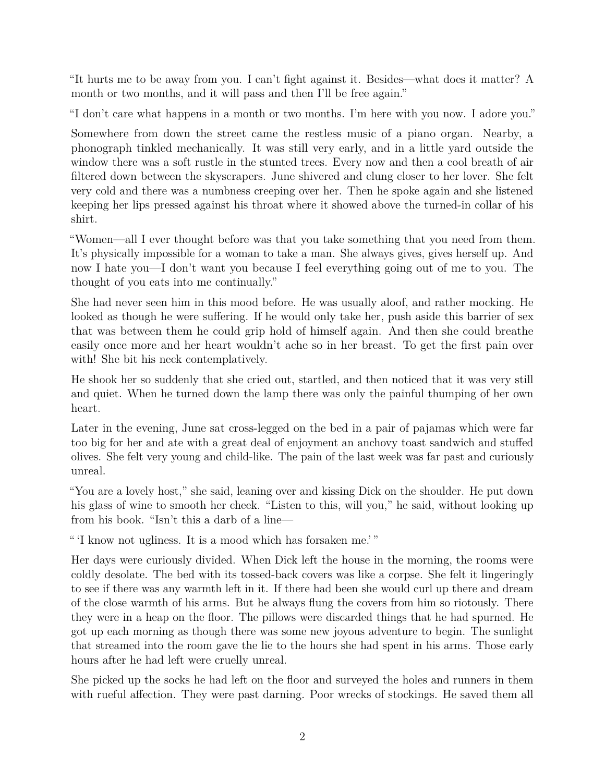"It hurts me to be away from you. I can't fight against it. Besides—what does it matter? A month or two months, and it will pass and then I'll be free again."

"I don't care what happens in a month or two months. I'm here with you now. I adore you."

Somewhere from down the street came the restless music of a piano organ. Nearby, a phonograph tinkled mechanically. It was still very early, and in a little yard outside the window there was a soft rustle in the stunted trees. Every now and then a cool breath of air filtered down between the skyscrapers. June shivered and clung closer to her lover. She felt very cold and there was a numbness creeping over her. Then he spoke again and she listened keeping her lips pressed against his throat where it showed above the turned-in collar of his shirt.

"Women—all I ever thought before was that you take something that you need from them. It's physically impossible for a woman to take a man. She always gives, gives herself up. And now I hate you—I don't want you because I feel everything going out of me to you. The thought of you eats into me continually."

She had never seen him in this mood before. He was usually aloof, and rather mocking. He looked as though he were suffering. If he would only take her, push aside this barrier of sex that was between them he could grip hold of himself again. And then she could breathe easily once more and her heart wouldn't ache so in her breast. To get the first pain over with! She bit his neck contemplatively.

He shook her so suddenly that she cried out, startled, and then noticed that it was very still and quiet. When he turned down the lamp there was only the painful thumping of her own heart.

Later in the evening, June sat cross-legged on the bed in a pair of pajamas which were far too big for her and ate with a great deal of enjoyment an anchovy toast sandwich and stuffed olives. She felt very young and child-like. The pain of the last week was far past and curiously unreal.

"You are a lovely host," she said, leaning over and kissing Dick on the shoulder. He put down his glass of wine to smooth her cheek. "Listen to this, will you," he said, without looking up from his book. "Isn't this a darb of a line—

" 'I know not ugliness. It is a mood which has forsaken me.' "

Her days were curiously divided. When Dick left the house in the morning, the rooms were coldly desolate. The bed with its tossed-back covers was like a corpse. She felt it lingeringly to see if there was any warmth left in it. If there had been she would curl up there and dream of the close warmth of his arms. But he always flung the covers from him so riotously. There they were in a heap on the floor. The pillows were discarded things that he had spurned. He got up each morning as though there was some new joyous adventure to begin. The sunlight that streamed into the room gave the lie to the hours she had spent in his arms. Those early hours after he had left were cruelly unreal.

She picked up the socks he had left on the floor and surveyed the holes and runners in them with rueful affection. They were past darning. Poor wrecks of stockings. He saved them all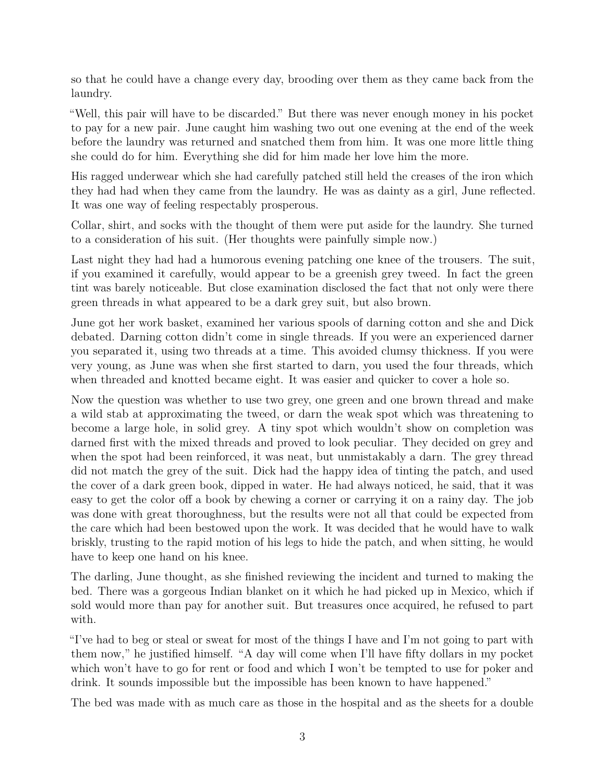so that he could have a change every day, brooding over them as they came back from the laundry.

"Well, this pair will have to be discarded." But there was never enough money in his pocket to pay for a new pair. June caught him washing two out one evening at the end of the week before the laundry was returned and snatched them from him. It was one more little thing she could do for him. Everything she did for him made her love him the more.

His ragged underwear which she had carefully patched still held the creases of the iron which they had had when they came from the laundry. He was as dainty as a girl, June reflected. It was one way of feeling respectably prosperous.

Collar, shirt, and socks with the thought of them were put aside for the laundry. She turned to a consideration of his suit. (Her thoughts were painfully simple now.)

Last night they had had a humorous evening patching one knee of the trousers. The suit, if you examined it carefully, would appear to be a greenish grey tweed. In fact the green tint was barely noticeable. But close examination disclosed the fact that not only were there green threads in what appeared to be a dark grey suit, but also brown.

June got her work basket, examined her various spools of darning cotton and she and Dick debated. Darning cotton didn't come in single threads. If you were an experienced darner you separated it, using two threads at a time. This avoided clumsy thickness. If you were very young, as June was when she first started to darn, you used the four threads, which when threaded and knotted became eight. It was easier and quicker to cover a hole so.

Now the question was whether to use two grey, one green and one brown thread and make a wild stab at approximating the tweed, or darn the weak spot which was threatening to become a large hole, in solid grey. A tiny spot which wouldn't show on completion was darned first with the mixed threads and proved to look peculiar. They decided on grey and when the spot had been reinforced, it was neat, but unmistakably a darn. The grey thread did not match the grey of the suit. Dick had the happy idea of tinting the patch, and used the cover of a dark green book, dipped in water. He had always noticed, he said, that it was easy to get the color off a book by chewing a corner or carrying it on a rainy day. The job was done with great thoroughness, but the results were not all that could be expected from the care which had been bestowed upon the work. It was decided that he would have to walk briskly, trusting to the rapid motion of his legs to hide the patch, and when sitting, he would have to keep one hand on his knee.

The darling, June thought, as she finished reviewing the incident and turned to making the bed. There was a gorgeous Indian blanket on it which he had picked up in Mexico, which if sold would more than pay for another suit. But treasures once acquired, he refused to part with.

"I've had to beg or steal or sweat for most of the things I have and I'm not going to part with them now," he justified himself. "A day will come when I'll have fifty dollars in my pocket which won't have to go for rent or food and which I won't be tempted to use for poker and drink. It sounds impossible but the impossible has been known to have happened."

The bed was made with as much care as those in the hospital and as the sheets for a double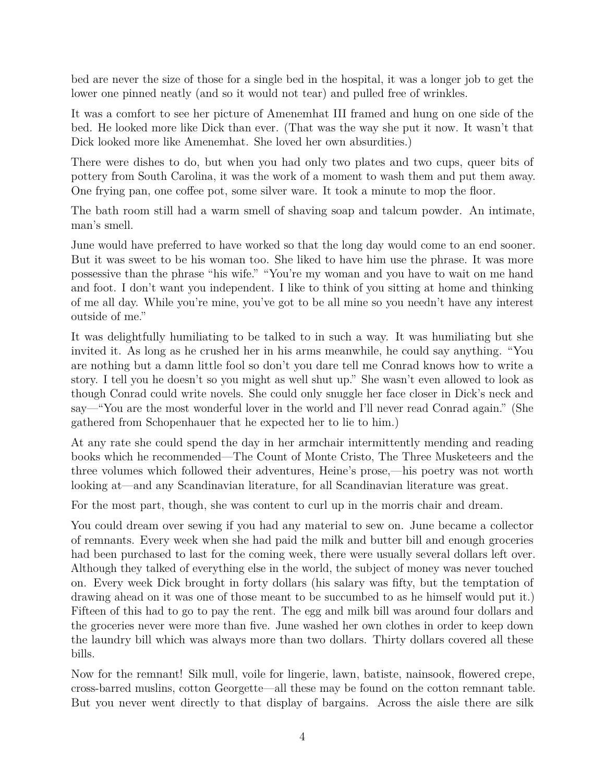bed are never the size of those for a single bed in the hospital, it was a longer job to get the lower one pinned neatly (and so it would not tear) and pulled free of wrinkles.

It was a comfort to see her picture of Amenemhat III framed and hung on one side of the bed. He looked more like Dick than ever. (That was the way she put it now. It wasn't that Dick looked more like Amenemhat. She loved her own absurdities.)

There were dishes to do, but when you had only two plates and two cups, queer bits of pottery from South Carolina, it was the work of a moment to wash them and put them away. One frying pan, one coffee pot, some silver ware. It took a minute to mop the floor.

The bath room still had a warm smell of shaving soap and talcum powder. An intimate, man's smell.

June would have preferred to have worked so that the long day would come to an end sooner. But it was sweet to be his woman too. She liked to have him use the phrase. It was more possessive than the phrase "his wife." "You're my woman and you have to wait on me hand and foot. I don't want you independent. I like to think of you sitting at home and thinking of me all day. While you're mine, you've got to be all mine so you needn't have any interest outside of me."

It was delightfully humiliating to be talked to in such a way. It was humiliating but she invited it. As long as he crushed her in his arms meanwhile, he could say anything. "You are nothing but a damn little fool so don't you dare tell me Conrad knows how to write a story. I tell you he doesn't so you might as well shut up." She wasn't even allowed to look as though Conrad could write novels. She could only snuggle her face closer in Dick's neck and say—"You are the most wonderful lover in the world and I'll never read Conrad again." (She gathered from Schopenhauer that he expected her to lie to him.)

At any rate she could spend the day in her armchair intermittently mending and reading books which he recommended—The Count of Monte Cristo, The Three Musketeers and the three volumes which followed their adventures, Heine's prose,—his poetry was not worth looking at—and any Scandinavian literature, for all Scandinavian literature was great.

For the most part, though, she was content to curl up in the morris chair and dream.

You could dream over sewing if you had any material to sew on. June became a collector of remnants. Every week when she had paid the milk and butter bill and enough groceries had been purchased to last for the coming week, there were usually several dollars left over. Although they talked of everything else in the world, the subject of money was never touched on. Every week Dick brought in forty dollars (his salary was fifty, but the temptation of drawing ahead on it was one of those meant to be succumbed to as he himself would put it.) Fifteen of this had to go to pay the rent. The egg and milk bill was around four dollars and the groceries never were more than five. June washed her own clothes in order to keep down the laundry bill which was always more than two dollars. Thirty dollars covered all these bills.

Now for the remnant! Silk mull, voile for lingerie, lawn, batiste, nainsook, flowered crepe, cross-barred muslins, cotton Georgette—all these may be found on the cotton remnant table. But you never went directly to that display of bargains. Across the aisle there are silk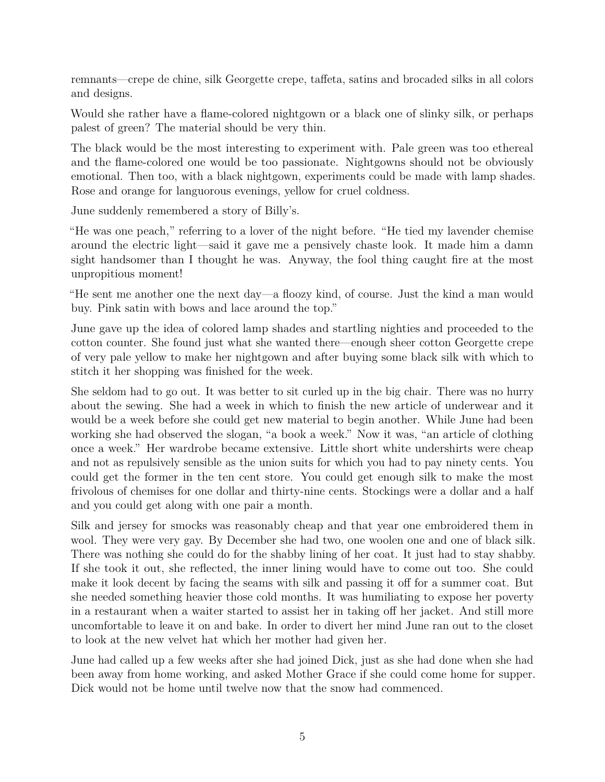remnants—crepe de chine, silk Georgette crepe, taffeta, satins and brocaded silks in all colors and designs.

Would she rather have a flame-colored nightgown or a black one of slinky silk, or perhaps palest of green? The material should be very thin.

The black would be the most interesting to experiment with. Pale green was too ethereal and the flame-colored one would be too passionate. Nightgowns should not be obviously emotional. Then too, with a black nightgown, experiments could be made with lamp shades. Rose and orange for languorous evenings, yellow for cruel coldness.

June suddenly remembered a story of Billy's.

"He was one peach," referring to a lover of the night before. "He tied my lavender chemise around the electric light—said it gave me a pensively chaste look. It made him a damn sight handsomer than I thought he was. Anyway, the fool thing caught fire at the most unpropitious moment!

"He sent me another one the next day—a floozy kind, of course. Just the kind a man would buy. Pink satin with bows and lace around the top."

June gave up the idea of colored lamp shades and startling nighties and proceeded to the cotton counter. She found just what she wanted there—enough sheer cotton Georgette crepe of very pale yellow to make her nightgown and after buying some black silk with which to stitch it her shopping was finished for the week.

She seldom had to go out. It was better to sit curled up in the big chair. There was no hurry about the sewing. She had a week in which to finish the new article of underwear and it would be a week before she could get new material to begin another. While June had been working she had observed the slogan, "a book a week." Now it was, "an article of clothing once a week." Her wardrobe became extensive. Little short white undershirts were cheap and not as repulsively sensible as the union suits for which you had to pay ninety cents. You could get the former in the ten cent store. You could get enough silk to make the most frivolous of chemises for one dollar and thirty-nine cents. Stockings were a dollar and a half and you could get along with one pair a month.

Silk and jersey for smocks was reasonably cheap and that year one embroidered them in wool. They were very gay. By December she had two, one woolen one and one of black silk. There was nothing she could do for the shabby lining of her coat. It just had to stay shabby. If she took it out, she reflected, the inner lining would have to come out too. She could make it look decent by facing the seams with silk and passing it off for a summer coat. But she needed something heavier those cold months. It was humiliating to expose her poverty in a restaurant when a waiter started to assist her in taking off her jacket. And still more uncomfortable to leave it on and bake. In order to divert her mind June ran out to the closet to look at the new velvet hat which her mother had given her.

June had called up a few weeks after she had joined Dick, just as she had done when she had been away from home working, and asked Mother Grace if she could come home for supper. Dick would not be home until twelve now that the snow had commenced.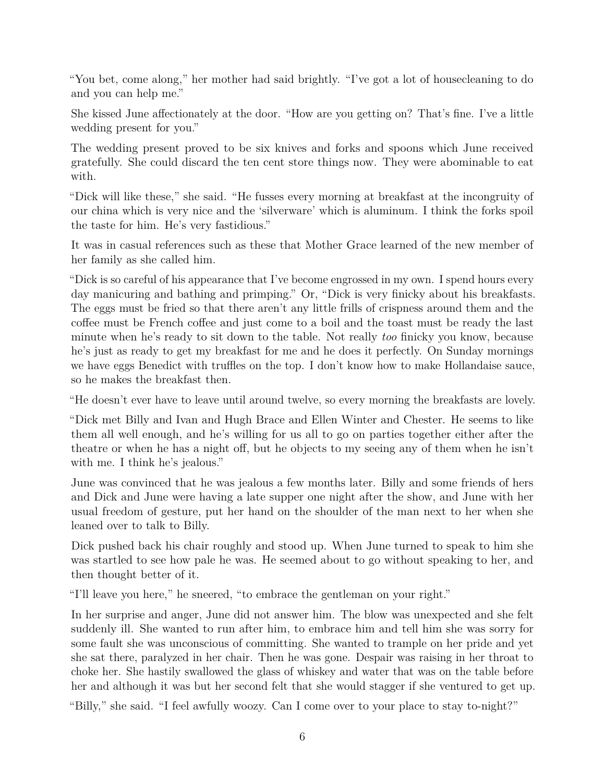"You bet, come along," her mother had said brightly. "I've got a lot of housecleaning to do and you can help me."

She kissed June affectionately at the door. "How are you getting on? That's fine. I've a little wedding present for you."

The wedding present proved to be six knives and forks and spoons which June received gratefully. She could discard the ten cent store things now. They were abominable to eat with.

"Dick will like these," she said. "He fusses every morning at breakfast at the incongruity of our china which is very nice and the 'silverware' which is aluminum. I think the forks spoil the taste for him. He's very fastidious."

It was in casual references such as these that Mother Grace learned of the new member of her family as she called him.

"Dick is so careful of his appearance that I've become engrossed in my own. I spend hours every day manicuring and bathing and primping." Or, "Dick is very finicky about his breakfasts. The eggs must be fried so that there aren't any little frills of crispness around them and the coffee must be French coffee and just come to a boil and the toast must be ready the last minute when he's ready to sit down to the table. Not really *too* finicky you know, because he's just as ready to get my breakfast for me and he does it perfectly. On Sunday mornings we have eggs Benedict with truffles on the top. I don't know how to make Hollandaise sauce, so he makes the breakfast then.

"He doesn't ever have to leave until around twelve, so every morning the breakfasts are lovely.

"Dick met Billy and Ivan and Hugh Brace and Ellen Winter and Chester. He seems to like them all well enough, and he's willing for us all to go on parties together either after the theatre or when he has a night off, but he objects to my seeing any of them when he isn't with me. I think he's jealous."

June was convinced that he was jealous a few months later. Billy and some friends of hers and Dick and June were having a late supper one night after the show, and June with her usual freedom of gesture, put her hand on the shoulder of the man next to her when she leaned over to talk to Billy.

Dick pushed back his chair roughly and stood up. When June turned to speak to him she was startled to see how pale he was. He seemed about to go without speaking to her, and then thought better of it.

"I'll leave you here," he sneered, "to embrace the gentleman on your right."

In her surprise and anger, June did not answer him. The blow was unexpected and she felt suddenly ill. She wanted to run after him, to embrace him and tell him she was sorry for some fault she was unconscious of committing. She wanted to trample on her pride and yet she sat there, paralyzed in her chair. Then he was gone. Despair was raising in her throat to choke her. She hastily swallowed the glass of whiskey and water that was on the table before her and although it was but her second felt that she would stagger if she ventured to get up.

"Billy," she said. "I feel awfully woozy. Can I come over to your place to stay to-night?"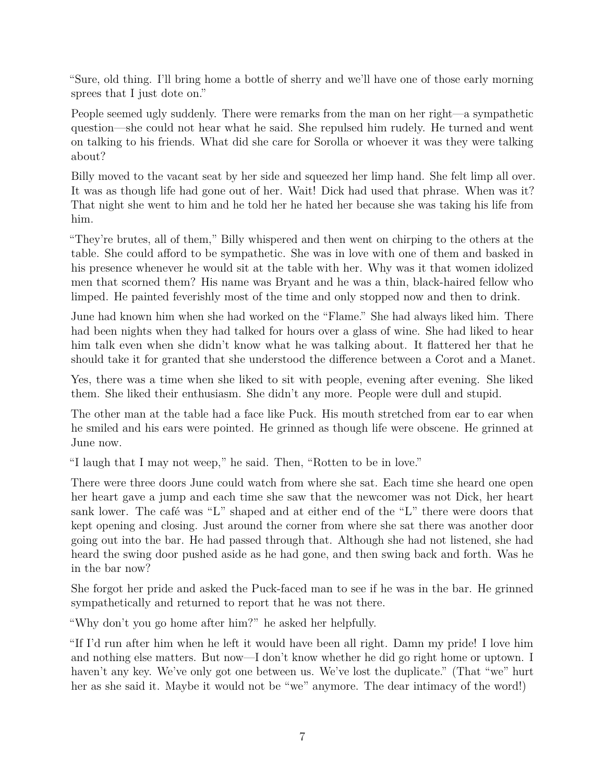"Sure, old thing. I'll bring home a bottle of sherry and we'll have one of those early morning sprees that I just dote on."

People seemed ugly suddenly. There were remarks from the man on her right—a sympathetic question—she could not hear what he said. She repulsed him rudely. He turned and went on talking to his friends. What did she care for Sorolla or whoever it was they were talking about?

Billy moved to the vacant seat by her side and squeezed her limp hand. She felt limp all over. It was as though life had gone out of her. Wait! Dick had used that phrase. When was it? That night she went to him and he told her he hated her because she was taking his life from him.

"They're brutes, all of them," Billy whispered and then went on chirping to the others at the table. She could afford to be sympathetic. She was in love with one of them and basked in his presence whenever he would sit at the table with her. Why was it that women idolized men that scorned them? His name was Bryant and he was a thin, black-haired fellow who limped. He painted feverishly most of the time and only stopped now and then to drink.

June had known him when she had worked on the "Flame." She had always liked him. There had been nights when they had talked for hours over a glass of wine. She had liked to hear him talk even when she didn't know what he was talking about. It flattered her that he should take it for granted that she understood the difference between a Corot and a Manet.

Yes, there was a time when she liked to sit with people, evening after evening. She liked them. She liked their enthusiasm. She didn't any more. People were dull and stupid.

The other man at the table had a face like Puck. His mouth stretched from ear to ear when he smiled and his ears were pointed. He grinned as though life were obscene. He grinned at June now.

"I laugh that I may not weep," he said. Then, "Rotten to be in love."

There were three doors June could watch from where she sat. Each time she heard one open her heart gave a jump and each time she saw that the newcomer was not Dick, her heart sank lower. The café was "L" shaped and at either end of the "L" there were doors that kept opening and closing. Just around the corner from where she sat there was another door going out into the bar. He had passed through that. Although she had not listened, she had heard the swing door pushed aside as he had gone, and then swing back and forth. Was he in the bar now?

She forgot her pride and asked the Puck-faced man to see if he was in the bar. He grinned sympathetically and returned to report that he was not there.

"Why don't you go home after him?" he asked her helpfully.

"If I'd run after him when he left it would have been all right. Damn my pride! I love him and nothing else matters. But now—I don't know whether he did go right home or uptown. I haven't any key. We've only got one between us. We've lost the duplicate." (That "we" hurt her as she said it. Maybe it would not be "we" anymore. The dear intimacy of the word!)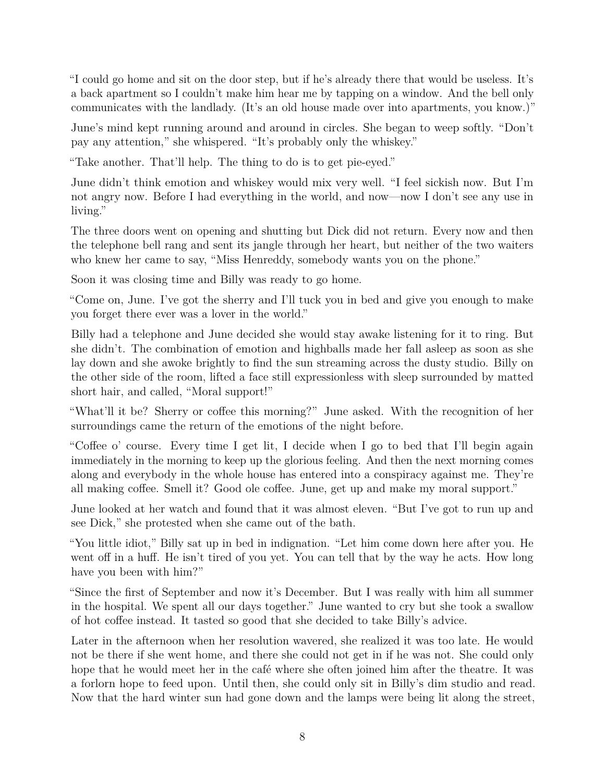"I could go home and sit on the door step, but if he's already there that would be useless. It's a back apartment so I couldn't make him hear me by tapping on a window. And the bell only communicates with the landlady. (It's an old house made over into apartments, you know.)"

June's mind kept running around and around in circles. She began to weep softly. "Don't pay any attention," she whispered. "It's probably only the whiskey."

"Take another. That'll help. The thing to do is to get pie-eyed."

June didn't think emotion and whiskey would mix very well. "I feel sickish now. But I'm not angry now. Before I had everything in the world, and now—now I don't see any use in living."

The three doors went on opening and shutting but Dick did not return. Every now and then the telephone bell rang and sent its jangle through her heart, but neither of the two waiters who knew her came to say, "Miss Henreddy, somebody wants you on the phone."

Soon it was closing time and Billy was ready to go home.

"Come on, June. I've got the sherry and I'll tuck you in bed and give you enough to make you forget there ever was a lover in the world."

Billy had a telephone and June decided she would stay awake listening for it to ring. But she didn't. The combination of emotion and highballs made her fall asleep as soon as she lay down and she awoke brightly to find the sun streaming across the dusty studio. Billy on the other side of the room, lifted a face still expressionless with sleep surrounded by matted short hair, and called, "Moral support!"

"What'll it be? Sherry or coffee this morning?" June asked. With the recognition of her surroundings came the return of the emotions of the night before.

"Coffee o' course. Every time I get lit, I decide when I go to bed that I'll begin again immediately in the morning to keep up the glorious feeling. And then the next morning comes along and everybody in the whole house has entered into a conspiracy against me. They're all making coffee. Smell it? Good ole coffee. June, get up and make my moral support."

June looked at her watch and found that it was almost eleven. "But I've got to run up and see Dick," she protested when she came out of the bath.

"You little idiot," Billy sat up in bed in indignation. "Let him come down here after you. He went off in a huff. He isn't tired of you yet. You can tell that by the way he acts. How long have you been with him?"

"Since the first of September and now it's December. But I was really with him all summer in the hospital. We spent all our days together." June wanted to cry but she took a swallow of hot coffee instead. It tasted so good that she decided to take Billy's advice.

Later in the afternoon when her resolution wavered, she realized it was too late. He would not be there if she went home, and there she could not get in if he was not. She could only hope that he would meet her in the café where she often joined him after the theatre. It was a forlorn hope to feed upon. Until then, she could only sit in Billy's dim studio and read. Now that the hard winter sun had gone down and the lamps were being lit along the street,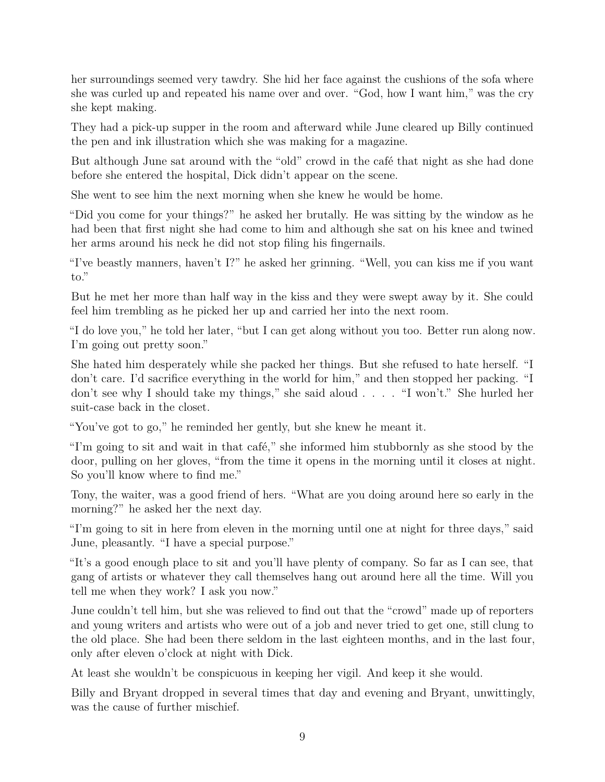her surroundings seemed very tawdry. She hid her face against the cushions of the sofa where she was curled up and repeated his name over and over. "God, how I want him," was the cry she kept making.

They had a pick-up supper in the room and afterward while June cleared up Billy continued the pen and ink illustration which she was making for a magazine.

But although June sat around with the "old" crowd in the café that night as she had done before she entered the hospital, Dick didn't appear on the scene.

She went to see him the next morning when she knew he would be home.

"Did you come for your things?" he asked her brutally. He was sitting by the window as he had been that first night she had come to him and although she sat on his knee and twined her arms around his neck he did not stop filing his fingernails.

"I've beastly manners, haven't I?" he asked her grinning. "Well, you can kiss me if you want to."

But he met her more than half way in the kiss and they were swept away by it. She could feel him trembling as he picked her up and carried her into the next room.

"I do love you," he told her later, "but I can get along without you too. Better run along now. I'm going out pretty soon."

She hated him desperately while she packed her things. But she refused to hate herself. "I don't care. I'd sacrifice everything in the world for him," and then stopped her packing. "I don't see why I should take my things," she said aloud . . . . "I won't." She hurled her suit-case back in the closet.

"You've got to go," he reminded her gently, but she knew he meant it.

"I'm going to sit and wait in that café," she informed him stubbornly as she stood by the door, pulling on her gloves, "from the time it opens in the morning until it closes at night. So you'll know where to find me."

Tony, the waiter, was a good friend of hers. "What are you doing around here so early in the morning?" he asked her the next day.

"I'm going to sit in here from eleven in the morning until one at night for three days," said June, pleasantly. "I have a special purpose."

"It's a good enough place to sit and you'll have plenty of company. So far as I can see, that gang of artists or whatever they call themselves hang out around here all the time. Will you tell me when they work? I ask you now."

June couldn't tell him, but she was relieved to find out that the "crowd" made up of reporters and young writers and artists who were out of a job and never tried to get one, still clung to the old place. She had been there seldom in the last eighteen months, and in the last four, only after eleven o'clock at night with Dick.

At least she wouldn't be conspicuous in keeping her vigil. And keep it she would.

Billy and Bryant dropped in several times that day and evening and Bryant, unwittingly, was the cause of further mischief.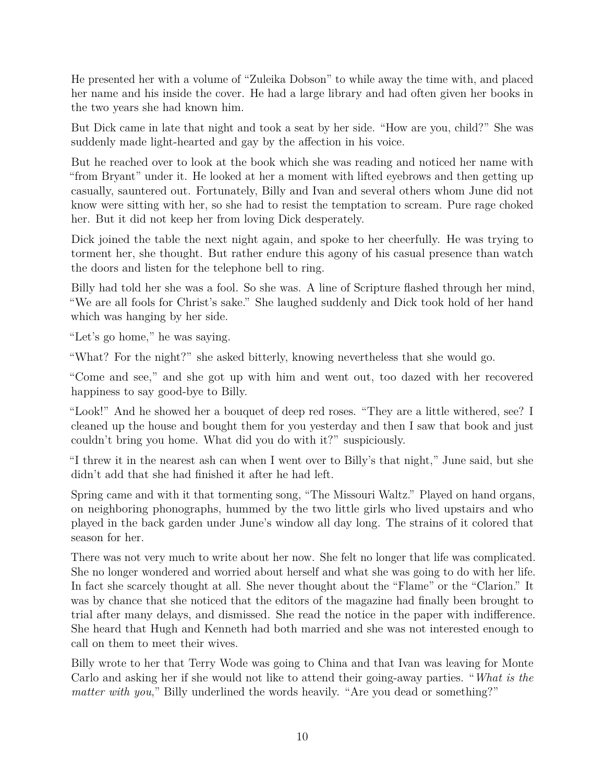He presented her with a volume of "Zuleika Dobson" to while away the time with, and placed her name and his inside the cover. He had a large library and had often given her books in the two years she had known him.

But Dick came in late that night and took a seat by her side. "How are you, child?" She was suddenly made light-hearted and gay by the affection in his voice.

But he reached over to look at the book which she was reading and noticed her name with "from Bryant" under it. He looked at her a moment with lifted eyebrows and then getting up casually, sauntered out. Fortunately, Billy and Ivan and several others whom June did not know were sitting with her, so she had to resist the temptation to scream. Pure rage choked her. But it did not keep her from loving Dick desperately.

Dick joined the table the next night again, and spoke to her cheerfully. He was trying to torment her, she thought. But rather endure this agony of his casual presence than watch the doors and listen for the telephone bell to ring.

Billy had told her she was a fool. So she was. A line of Scripture flashed through her mind, "We are all fools for Christ's sake." She laughed suddenly and Dick took hold of her hand which was hanging by her side.

"Let's go home," he was saying.

"What? For the night?" she asked bitterly, knowing nevertheless that she would go.

"Come and see," and she got up with him and went out, too dazed with her recovered happiness to say good-bye to Billy.

"Look!" And he showed her a bouquet of deep red roses. "They are a little withered, see? I cleaned up the house and bought them for you yesterday and then I saw that book and just couldn't bring you home. What did you do with it?" suspiciously.

"I threw it in the nearest ash can when I went over to Billy's that night," June said, but she didn't add that she had finished it after he had left.

Spring came and with it that tormenting song, "The Missouri Waltz." Played on hand organs, on neighboring phonographs, hummed by the two little girls who lived upstairs and who played in the back garden under June's window all day long. The strains of it colored that season for her.

There was not very much to write about her now. She felt no longer that life was complicated. She no longer wondered and worried about herself and what she was going to do with her life. In fact she scarcely thought at all. She never thought about the "Flame" or the "Clarion." It was by chance that she noticed that the editors of the magazine had finally been brought to trial after many delays, and dismissed. She read the notice in the paper with indifference. She heard that Hugh and Kenneth had both married and she was not interested enough to call on them to meet their wives.

Billy wrote to her that Terry Wode was going to China and that Ivan was leaving for Monte Carlo and asking her if she would not like to attend their going-away parties. "*What is the matter with you*," Billy underlined the words heavily. "Are you dead or something?"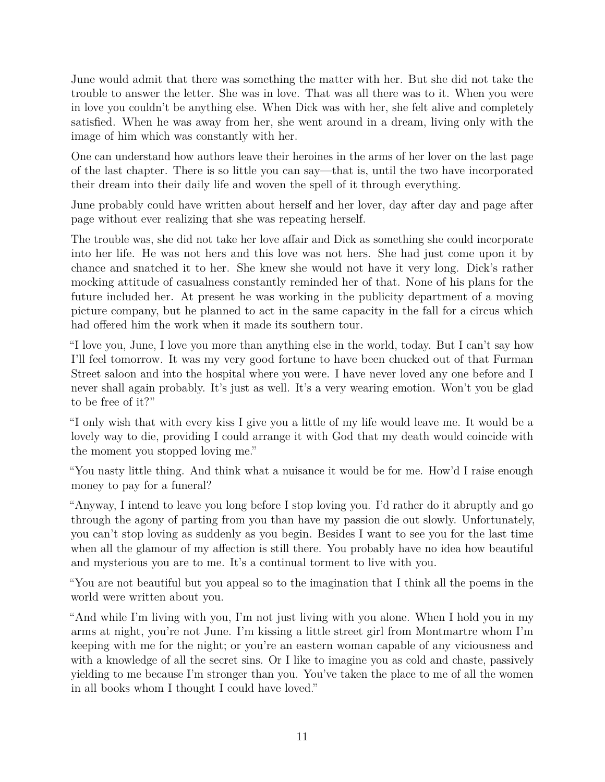June would admit that there was something the matter with her. But she did not take the trouble to answer the letter. She was in love. That was all there was to it. When you were in love you couldn't be anything else. When Dick was with her, she felt alive and completely satisfied. When he was away from her, she went around in a dream, living only with the image of him which was constantly with her.

One can understand how authors leave their heroines in the arms of her lover on the last page of the last chapter. There is so little you can say—that is, until the two have incorporated their dream into their daily life and woven the spell of it through everything.

June probably could have written about herself and her lover, day after day and page after page without ever realizing that she was repeating herself.

The trouble was, she did not take her love affair and Dick as something she could incorporate into her life. He was not hers and this love was not hers. She had just come upon it by chance and snatched it to her. She knew she would not have it very long. Dick's rather mocking attitude of casualness constantly reminded her of that. None of his plans for the future included her. At present he was working in the publicity department of a moving picture company, but he planned to act in the same capacity in the fall for a circus which had offered him the work when it made its southern tour.

"I love you, June, I love you more than anything else in the world, today. But I can't say how I'll feel tomorrow. It was my very good fortune to have been chucked out of that Furman Street saloon and into the hospital where you were. I have never loved any one before and I never shall again probably. It's just as well. It's a very wearing emotion. Won't you be glad to be free of it?"

"I only wish that with every kiss I give you a little of my life would leave me. It would be a lovely way to die, providing I could arrange it with God that my death would coincide with the moment you stopped loving me."

"You nasty little thing. And think what a nuisance it would be for me. How'd I raise enough money to pay for a funeral?

"Anyway, I intend to leave you long before I stop loving you. I'd rather do it abruptly and go through the agony of parting from you than have my passion die out slowly. Unfortunately, you can't stop loving as suddenly as you begin. Besides I want to see you for the last time when all the glamour of my affection is still there. You probably have no idea how beautiful and mysterious you are to me. It's a continual torment to live with you.

"You are not beautiful but you appeal so to the imagination that I think all the poems in the world were written about you.

"And while I'm living with you, I'm not just living with you alone. When I hold you in my arms at night, you're not June. I'm kissing a little street girl from Montmartre whom I'm keeping with me for the night; or you're an eastern woman capable of any viciousness and with a knowledge of all the secret sins. Or I like to imagine you as cold and chaste, passively yielding to me because I'm stronger than you. You've taken the place to me of all the women in all books whom I thought I could have loved."